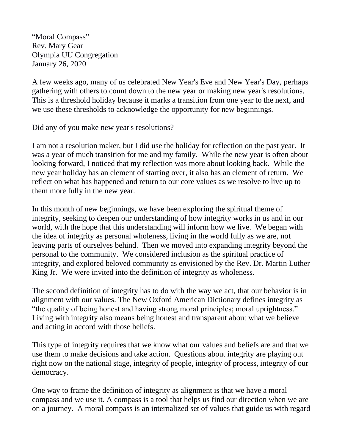"Moral Compass" Rev. Mary Gear Olympia UU Congregation January 26, 2020

A few weeks ago, many of us celebrated New Year's Eve and New Year's Day, perhaps gathering with others to count down to the new year or making new year's resolutions. This is a threshold holiday because it marks a transition from one year to the next, and we use these thresholds to acknowledge the opportunity for new beginnings.

Did any of you make new year's resolutions?

I am not a resolution maker, but I did use the holiday for reflection on the past year. It was a year of much transition for me and my family. While the new year is often about looking forward, I noticed that my reflection was more about looking back. While the new year holiday has an element of starting over, it also has an element of return. We reflect on what has happened and return to our core values as we resolve to live up to them more fully in the new year.

In this month of new beginnings, we have been exploring the spiritual theme of integrity, seeking to deepen our understanding of how integrity works in us and in our world, with the hope that this understanding will inform how we live. We began with the idea of integrity as personal wholeness, living in the world fully as we are, not leaving parts of ourselves behind. Then we moved into expanding integrity beyond the personal to the community. We considered inclusion as the spiritual practice of integrity, and explored beloved community as envisioned by the Rev. Dr. Martin Luther King Jr. We were invited into the definition of integrity as wholeness.

The second definition of integrity has to do with the way we act, that our behavior is in alignment with our values. The New Oxford American Dictionary defines integrity as "the quality of being honest and having strong moral principles; moral uprightness." Living with integrity also means being honest and transparent about what we believe and acting in accord with those beliefs.

This type of integrity requires that we know what our values and beliefs are and that we use them to make decisions and take action. Questions about integrity are playing out right now on the national stage, integrity of people, integrity of process, integrity of our democracy.

One way to frame the definition of integrity as alignment is that we have a moral compass and we use it. A compass is a tool that helps us find our direction when we are on a journey. A moral compass is an internalized set of values that guide us with regard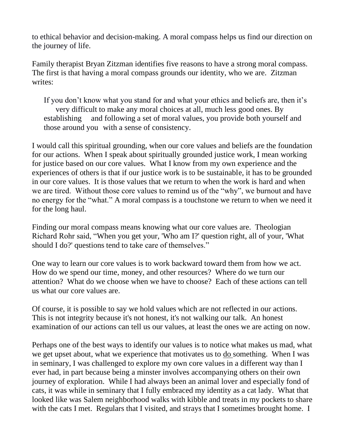to ethical behavior and decision-making. A moral compass helps us find our direction on the journey of life.

Family therapist Bryan Zitzman identifies five reasons to have a strong moral compass. The first is that having a moral compass grounds our identity, who we are. Zitzman writes:

If you don't know what you stand for and what your ethics and beliefs are, then it's very difficult to make any moral choices at all, much less good ones. By establishing and following a set of moral values, you provide both yourself and those around you with a sense of consistency.

I would call this spiritual grounding, when our core values and beliefs are the foundation for our actions. When I speak about spiritually grounded justice work, I mean working for justice based on our core values. What I know from my own experience and the experiences of others is that if our justice work is to be sustainable, it has to be grounded in our core values. It is those values that we return to when the work is hard and when we are tired. Without those core values to remind us of the "why", we burnout and have no energy for the "what." A moral compass is a touchstone we return to when we need it for the long haul.

Finding our moral compass means knowing what our core values are. Theologian Richard Rohr said, "When you get your, 'Who am I?' question right, all of your, 'What should I do?' questions tend to take care of themselves."

One way to learn our core values is to work backward toward them from how we act. How do we spend our time, money, and other resources? Where do we turn our attention? What do we choose when we have to choose? Each of these actions can tell us what our core values are.

Of course, it is possible to say we hold values which are not reflected in our actions. This is not integrity because it's not honest, it's not walking our talk. An honest examination of our actions can tell us our values, at least the ones we are acting on now.

Perhaps one of the best ways to identify our values is to notice what makes us mad, what we get upset about, what we experience that motivates us to do something. When I was in seminary, I was challenged to explore my own core values in a different way than I ever had, in part because being a minster involves accompanying others on their own journey of exploration. While I had always been an animal lover and especially fond of cats, it was while in seminary that I fully embraced my identity as a cat lady. What that looked like was Salem neighborhood walks with kibble and treats in my pockets to share with the cats I met. Regulars that I visited, and strays that I sometimes brought home. I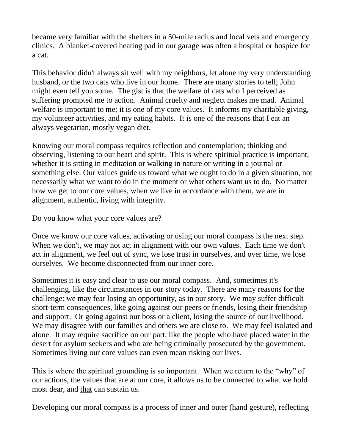became very familiar with the shelters in a 50-mile radius and local vets and emergency clinics. A blanket-covered heating pad in our garage was often a hospital or hospice for a cat.

This behavior didn't always sit well with my neighbors, let alone my very understanding husband, or the two cats who live in our home. There are many stories to tell; John might even tell you some. The gist is that the welfare of cats who I perceived as suffering prompted me to action. Animal cruelty and neglect makes me mad. Animal welfare is important to me; it is one of my core values. It informs my charitable giving, my volunteer activities, and my eating habits. It is one of the reasons that I eat an always vegetarian, mostly vegan diet.

Knowing our moral compass requires reflection and contemplation; thinking and observing, listening to our heart and spirit. This is where spiritual practice is important, whether it is sitting in meditation or walking in nature or writing in a journal or something else. Our values guide us toward what we ought to do in a given situation, not necessarily what we want to do in the moment or what others want us to do. No matter how we get to our core values, when we live in accordance with them, we are in alignment, authentic, living with integrity.

Do you know what your core values are?

Once we know our core values, activating or using our moral compass is the next step. When we don't, we may not act in alignment with our own values. Each time we don't act in alignment, we feel out of sync, we lose trust in ourselves, and over time, we lose ourselves. We become disconnected from our inner core.

Sometimes it is easy and clear to use our moral compass. And, sometimes it's challenging, like the circumstances in our story today. There are many reasons for the challenge: we may fear losing an opportunity, as in our story. We may suffer difficult short-term consequences, like going against our peers or friends, losing their friendship and support. Or going against our boss or a client, losing the source of our livelihood. We may disagree with our families and others we are close to. We may feel isolated and alone. It may require sacrifice on our part, like the people who have placed water in the desert for asylum seekers and who are being criminally prosecuted by the government. Sometimes living our core values can even mean risking our lives.

This is where the spiritual grounding is so important. When we return to the "why" of our actions, the values that are at our core, it allows us to be connected to what we hold most dear, and that can sustain us.

Developing our moral compass is a process of inner and outer (hand gesture), reflecting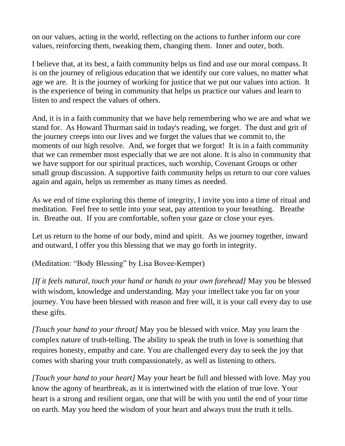on our values, acting in the world, reflecting on the actions to further inform our core values, reinforcing them, tweaking them, changing them. Inner and outer, both.

I believe that, at its best, a faith community helps us find and use our moral compass. It is on the journey of religious education that we identify our core values, no matter what age we are. It is the journey of working for justice that we put our values into action. It is the experience of being in community that helps us practice our values and learn to listen to and respect the values of others.

And, it is in a faith community that we have help remembering who we are and what we stand for. As Howard Thurman said in today's reading, we forget. The dust and grit of the journey creeps into our lives and we forget the values that we commit to, the moments of our high resolve. And, we forget that we forgot! It is in a faith community that we can remember most especially that we are not alone. It is also in community that we have support for our spiritual practices, such worship, Covenant Groups or other small group discussion. A supportive faith community helps us return to our core values again and again, helps us remember as many times as needed.

As we end of time exploring this theme of integrity, I invite you into a time of ritual and meditation. Feel free to settle into your seat, pay attention to your breathing. Breathe in. Breathe out. If you are comfortable, soften your gaze or close your eyes.

Let us return to the home of our body, mind and spirit. As we journey together, inward and outward, I offer you this blessing that we may go forth in integrity.

(Meditation: "Body Blessing" by Lisa Bovee-Kemper)

*[If it feels natural, touch your hand or hands to your own forehead]* May you be blessed with wisdom, knowledge and understanding. May your intellect take you far on your journey. You have been blessed with reason and free will, it is your call every day to use these gifts.

*[Touch your hand to your throat]* May you be blessed with voice. May you learn the complex nature of truth-telling. The ability to speak the truth in love is something that requires honesty, empathy and care. You are challenged every day to seek the joy that comes with sharing your truth compassionately, as well as listening to others.

*[Touch your hand to your heart]* May your heart be full and blessed with love. May you know the agony of heartbreak, as it is intertwined with the elation of true love. Your heart is a strong and resilient organ, one that will be with you until the end of your time on earth. May you heed the wisdom of your heart and always trust the truth it tells.